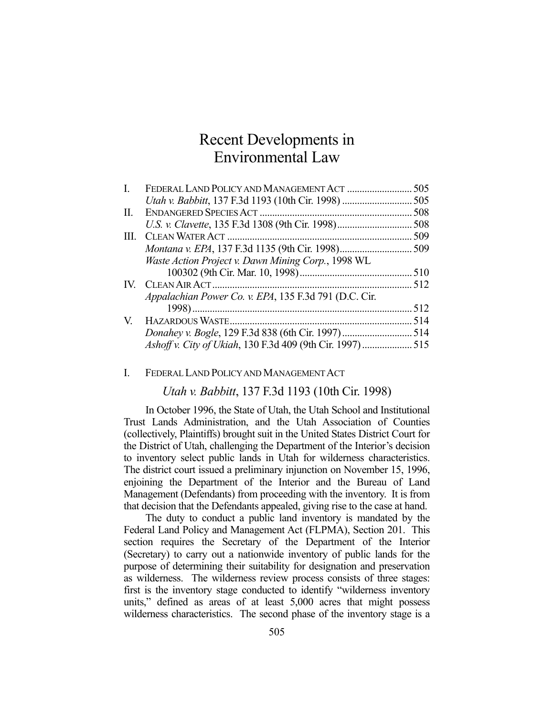# Recent Developments in Environmental Law

| L.            |                                                          | 505  |
|---------------|----------------------------------------------------------|------|
|               |                                                          |      |
| II.           |                                                          | 508  |
|               | U.S. v. Clavette, 135 F.3d 1308 (9th Cir. 1998)          | 508  |
| HL.           |                                                          | .509 |
|               |                                                          |      |
|               | Waste Action Project v. Dawn Mining Corp., 1998 WL       |      |
|               |                                                          |      |
| $\mathbf{IV}$ |                                                          | .512 |
|               | Appalachian Power Co. v. EPA, 135 F.3d 791 (D.C. Cir.    |      |
|               |                                                          | .512 |
| V.            |                                                          | 514  |
|               |                                                          |      |
|               | Ashoff v. City of Ukiah, 130 F.3d 409 (9th Cir. 1997)515 |      |
|               |                                                          |      |

I. FEDERAL LAND POLICY AND MANAGEMENT ACT

*Utah v. Babbitt*, 137 F.3d 1193 (10th Cir. 1998)

In October 1996, the State of Utah, the Utah School and Institutional Trust Lands Administration, and the Utah Association of Counties (collectively, Plaintiffs) brought suit in the United States District Court for the District of Utah, challenging the Department of the Interior's decision to inventory select public lands in Utah for wilderness characteristics. The district court issued a preliminary injunction on November 15, 1996, enjoining the Department of the Interior and the Bureau of Land Management (Defendants) from proceeding with the inventory. It is from that decision that the Defendants appealed, giving rise to the case at hand.

 The duty to conduct a public land inventory is mandated by the Federal Land Policy and Management Act (FLPMA), Section 201. This section requires the Secretary of the Department of the Interior (Secretary) to carry out a nationwide inventory of public lands for the purpose of determining their suitability for designation and preservation as wilderness. The wilderness review process consists of three stages: first is the inventory stage conducted to identify "wilderness inventory units," defined as areas of at least 5,000 acres that might possess wilderness characteristics. The second phase of the inventory stage is a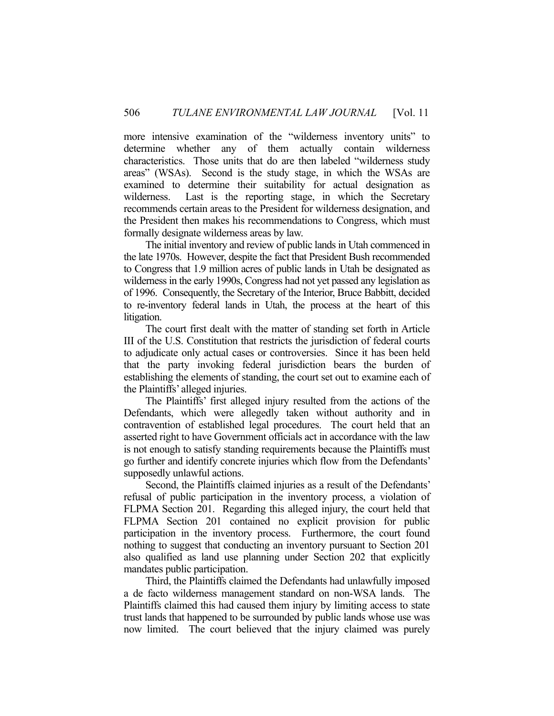more intensive examination of the "wilderness inventory units" to determine whether any of them actually contain wilderness characteristics. Those units that do are then labeled "wilderness study areas" (WSAs). Second is the study stage, in which the WSAs are examined to determine their suitability for actual designation as wilderness. Last is the reporting stage, in which the Secretary recommends certain areas to the President for wilderness designation, and the President then makes his recommendations to Congress, which must formally designate wilderness areas by law.

 The initial inventory and review of public lands in Utah commenced in the late 1970s. However, despite the fact that President Bush recommended to Congress that 1.9 million acres of public lands in Utah be designated as wilderness in the early 1990s, Congress had not yet passed any legislation as of 1996. Consequently, the Secretary of the Interior, Bruce Babbitt, decided to re-inventory federal lands in Utah, the process at the heart of this litigation.

 The court first dealt with the matter of standing set forth in Article III of the U.S. Constitution that restricts the jurisdiction of federal courts to adjudicate only actual cases or controversies. Since it has been held that the party invoking federal jurisdiction bears the burden of establishing the elements of standing, the court set out to examine each of the Plaintiffs' alleged injuries.

 The Plaintiffs' first alleged injury resulted from the actions of the Defendants, which were allegedly taken without authority and in contravention of established legal procedures. The court held that an asserted right to have Government officials act in accordance with the law is not enough to satisfy standing requirements because the Plaintiffs must go further and identify concrete injuries which flow from the Defendants' supposedly unlawful actions.

 Second, the Plaintiffs claimed injuries as a result of the Defendants' refusal of public participation in the inventory process, a violation of FLPMA Section 201. Regarding this alleged injury, the court held that FLPMA Section 201 contained no explicit provision for public participation in the inventory process. Furthermore, the court found nothing to suggest that conducting an inventory pursuant to Section 201 also qualified as land use planning under Section 202 that explicitly mandates public participation.

 Third, the Plaintiffs claimed the Defendants had unlawfully imposed a de facto wilderness management standard on non-WSA lands. The Plaintiffs claimed this had caused them injury by limiting access to state trust lands that happened to be surrounded by public lands whose use was now limited. The court believed that the injury claimed was purely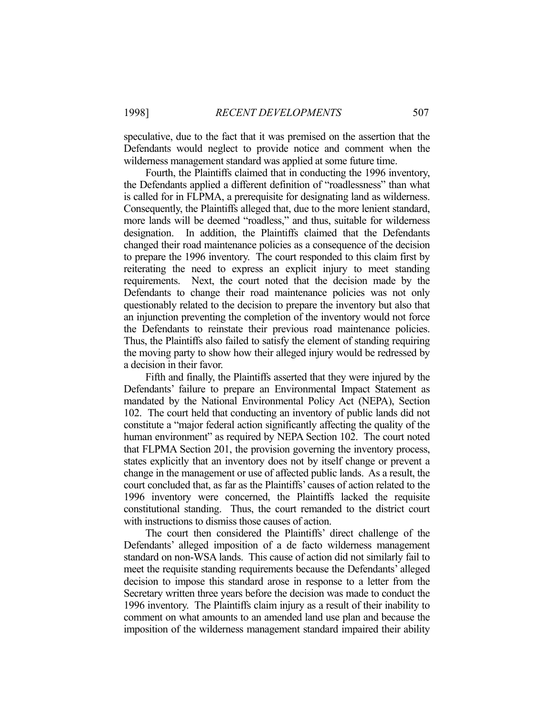speculative, due to the fact that it was premised on the assertion that the Defendants would neglect to provide notice and comment when the wilderness management standard was applied at some future time.

 Fourth, the Plaintiffs claimed that in conducting the 1996 inventory, the Defendants applied a different definition of "roadlessness" than what is called for in FLPMA, a prerequisite for designating land as wilderness. Consequently, the Plaintiffs alleged that, due to the more lenient standard, more lands will be deemed "roadless," and thus, suitable for wilderness designation. In addition, the Plaintiffs claimed that the Defendants changed their road maintenance policies as a consequence of the decision to prepare the 1996 inventory. The court responded to this claim first by reiterating the need to express an explicit injury to meet standing requirements. Next, the court noted that the decision made by the Defendants to change their road maintenance policies was not only questionably related to the decision to prepare the inventory but also that an injunction preventing the completion of the inventory would not force the Defendants to reinstate their previous road maintenance policies. Thus, the Plaintiffs also failed to satisfy the element of standing requiring the moving party to show how their alleged injury would be redressed by a decision in their favor.

 Fifth and finally, the Plaintiffs asserted that they were injured by the Defendants' failure to prepare an Environmental Impact Statement as mandated by the National Environmental Policy Act (NEPA), Section 102. The court held that conducting an inventory of public lands did not constitute a "major federal action significantly affecting the quality of the human environment" as required by NEPA Section 102. The court noted that FLPMA Section 201, the provision governing the inventory process, states explicitly that an inventory does not by itself change or prevent a change in the management or use of affected public lands. As a result, the court concluded that, as far as the Plaintiffs' causes of action related to the 1996 inventory were concerned, the Plaintiffs lacked the requisite constitutional standing. Thus, the court remanded to the district court with instructions to dismiss those causes of action.

 The court then considered the Plaintiffs' direct challenge of the Defendants' alleged imposition of a de facto wilderness management standard on non-WSA lands. This cause of action did not similarly fail to meet the requisite standing requirements because the Defendants' alleged decision to impose this standard arose in response to a letter from the Secretary written three years before the decision was made to conduct the 1996 inventory. The Plaintiffs claim injury as a result of their inability to comment on what amounts to an amended land use plan and because the imposition of the wilderness management standard impaired their ability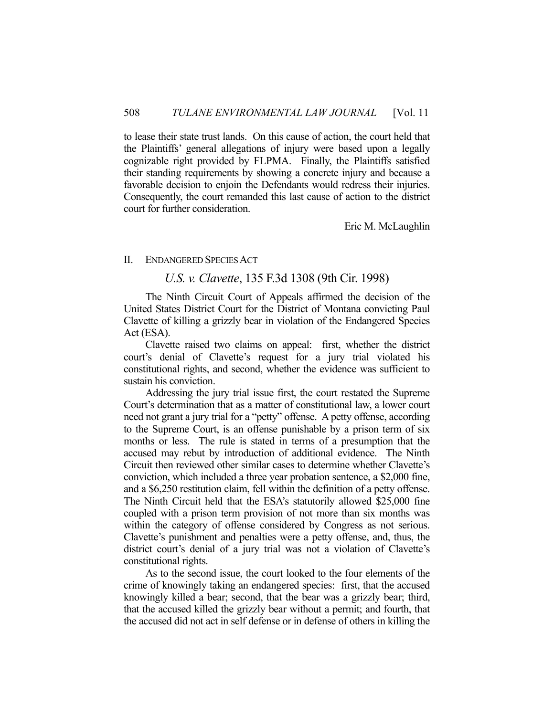to lease their state trust lands. On this cause of action, the court held that the Plaintiffs' general allegations of injury were based upon a legally cognizable right provided by FLPMA. Finally, the Plaintiffs satisfied their standing requirements by showing a concrete injury and because a favorable decision to enjoin the Defendants would redress their injuries. Consequently, the court remanded this last cause of action to the district court for further consideration.

Eric M. McLaughlin

#### II. ENDANGERED SPECIES ACT

# *U.S. v. Clavette*, 135 F.3d 1308 (9th Cir. 1998)

The Ninth Circuit Court of Appeals affirmed the decision of the United States District Court for the District of Montana convicting Paul Clavette of killing a grizzly bear in violation of the Endangered Species Act (ESA).

 Clavette raised two claims on appeal: first, whether the district court's denial of Clavette's request for a jury trial violated his constitutional rights, and second, whether the evidence was sufficient to sustain his conviction.

 Addressing the jury trial issue first, the court restated the Supreme Court's determination that as a matter of constitutional law, a lower court need not grant a jury trial for a "petty" offense. A petty offense, according to the Supreme Court, is an offense punishable by a prison term of six months or less. The rule is stated in terms of a presumption that the accused may rebut by introduction of additional evidence. The Ninth Circuit then reviewed other similar cases to determine whether Clavette's conviction, which included a three year probation sentence, a \$2,000 fine, and a \$6,250 restitution claim, fell within the definition of a petty offense. The Ninth Circuit held that the ESA's statutorily allowed \$25,000 fine coupled with a prison term provision of not more than six months was within the category of offense considered by Congress as not serious. Clavette's punishment and penalties were a petty offense, and, thus, the district court's denial of a jury trial was not a violation of Clavette's constitutional rights.

 As to the second issue, the court looked to the four elements of the crime of knowingly taking an endangered species: first, that the accused knowingly killed a bear; second, that the bear was a grizzly bear; third, that the accused killed the grizzly bear without a permit; and fourth, that the accused did not act in self defense or in defense of others in killing the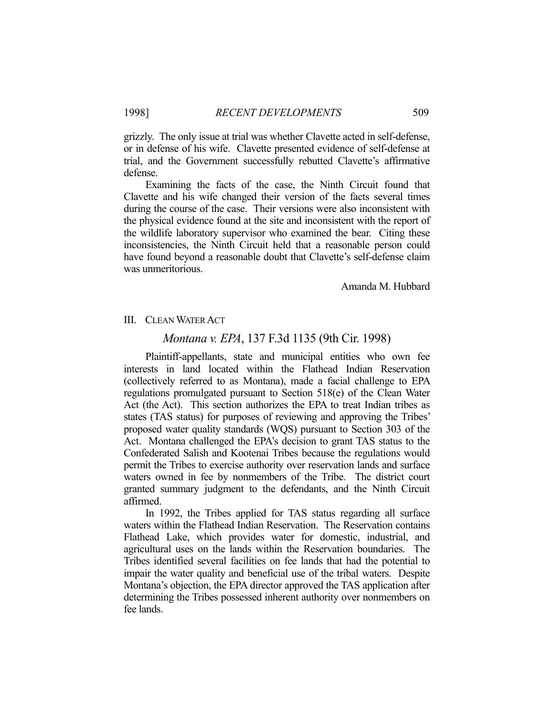grizzly. The only issue at trial was whether Clavette acted in self-defense, or in defense of his wife. Clavette presented evidence of self-defense at trial, and the Government successfully rebutted Clavette's affirmative defense.

 Examining the facts of the case, the Ninth Circuit found that Clavette and his wife changed their version of the facts several times during the course of the case. Their versions were also inconsistent with the physical evidence found at the site and inconsistent with the report of the wildlife laboratory supervisor who examined the bear. Citing these inconsistencies, the Ninth Circuit held that a reasonable person could have found beyond a reasonable doubt that Clavette's self-defense claim was unmeritorious.

Amanda M. Hubbard

#### III. CLEAN WATER ACT

### *Montana v. EPA*, 137 F.3d 1135 (9th Cir. 1998)

 Plaintiff-appellants, state and municipal entities who own fee interests in land located within the Flathead Indian Reservation (collectively referred to as Montana), made a facial challenge to EPA regulations promulgated pursuant to Section 518(e) of the Clean Water Act (the Act). This section authorizes the EPA to treat Indian tribes as states (TAS status) for purposes of reviewing and approving the Tribes' proposed water quality standards (WQS) pursuant to Section 303 of the Act. Montana challenged the EPA's decision to grant TAS status to the Confederated Salish and Kootenai Tribes because the regulations would permit the Tribes to exercise authority over reservation lands and surface waters owned in fee by nonmembers of the Tribe. The district court granted summary judgment to the defendants, and the Ninth Circuit affirmed.

 In 1992, the Tribes applied for TAS status regarding all surface waters within the Flathead Indian Reservation. The Reservation contains Flathead Lake, which provides water for domestic, industrial, and agricultural uses on the lands within the Reservation boundaries. The Tribes identified several facilities on fee lands that had the potential to impair the water quality and beneficial use of the tribal waters. Despite Montana's objection, the EPA director approved the TAS application after determining the Tribes possessed inherent authority over nonmembers on fee lands.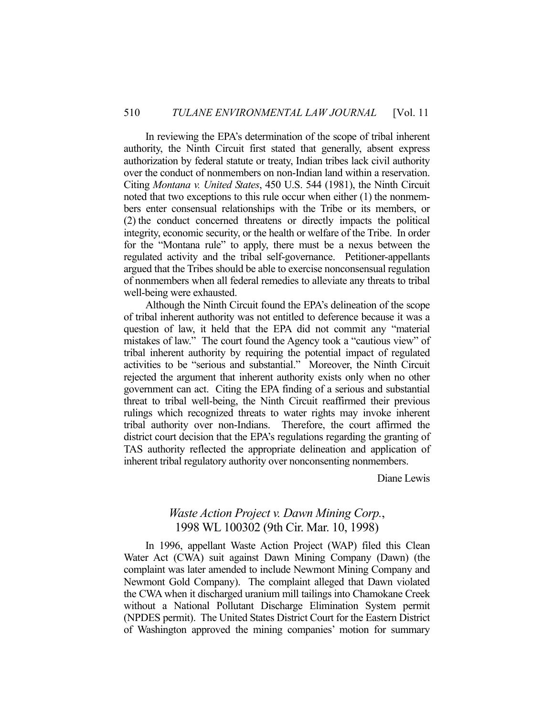In reviewing the EPA's determination of the scope of tribal inherent authority, the Ninth Circuit first stated that generally, absent express authorization by federal statute or treaty, Indian tribes lack civil authority over the conduct of nonmembers on non-Indian land within a reservation. Citing *Montana v. United States*, 450 U.S. 544 (1981), the Ninth Circuit noted that two exceptions to this rule occur when either (1) the nonmembers enter consensual relationships with the Tribe or its members, or (2) the conduct concerned threatens or directly impacts the political integrity, economic security, or the health or welfare of the Tribe. In order for the "Montana rule" to apply, there must be a nexus between the regulated activity and the tribal self-governance. Petitioner-appellants argued that the Tribes should be able to exercise nonconsensual regulation of nonmembers when all federal remedies to alleviate any threats to tribal well-being were exhausted.

 Although the Ninth Circuit found the EPA's delineation of the scope of tribal inherent authority was not entitled to deference because it was a question of law, it held that the EPA did not commit any "material mistakes of law." The court found the Agency took a "cautious view" of tribal inherent authority by requiring the potential impact of regulated activities to be "serious and substantial." Moreover, the Ninth Circuit rejected the argument that inherent authority exists only when no other government can act. Citing the EPA finding of a serious and substantial threat to tribal well-being, the Ninth Circuit reaffirmed their previous rulings which recognized threats to water rights may invoke inherent tribal authority over non-Indians. Therefore, the court affirmed the district court decision that the EPA's regulations regarding the granting of TAS authority reflected the appropriate delineation and application of inherent tribal regulatory authority over nonconsenting nonmembers.

Diane Lewis

# *Waste Action Project v. Dawn Mining Corp.*, 1998 WL 100302 (9th Cir. Mar. 10, 1998)

 In 1996, appellant Waste Action Project (WAP) filed this Clean Water Act (CWA) suit against Dawn Mining Company (Dawn) (the complaint was later amended to include Newmont Mining Company and Newmont Gold Company). The complaint alleged that Dawn violated the CWA when it discharged uranium mill tailings into Chamokane Creek without a National Pollutant Discharge Elimination System permit (NPDES permit). The United States District Court for the Eastern District of Washington approved the mining companies' motion for summary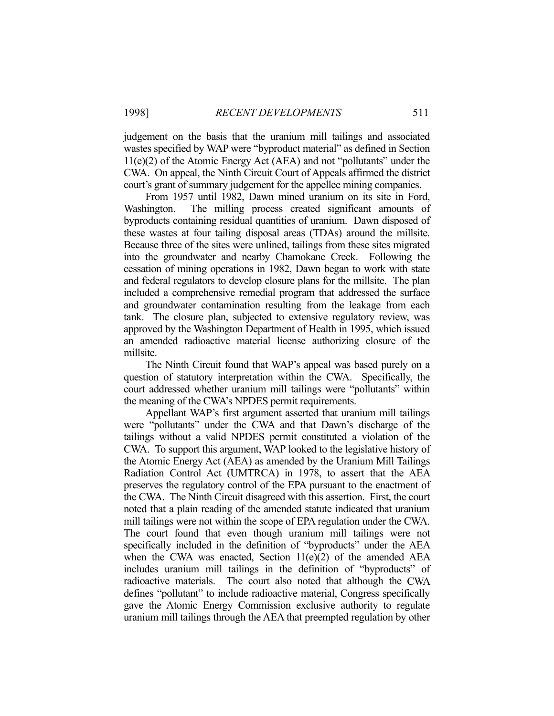judgement on the basis that the uranium mill tailings and associated wastes specified by WAP were "byproduct material" as defined in Section 11(e)(2) of the Atomic Energy Act (AEA) and not "pollutants" under the CWA. On appeal, the Ninth Circuit Court of Appeals affirmed the district court's grant of summary judgement for the appellee mining companies.

 From 1957 until 1982, Dawn mined uranium on its site in Ford, Washington. The milling process created significant amounts of byproducts containing residual quantities of uranium. Dawn disposed of these wastes at four tailing disposal areas (TDAs) around the millsite. Because three of the sites were unlined, tailings from these sites migrated into the groundwater and nearby Chamokane Creek. Following the cessation of mining operations in 1982, Dawn began to work with state and federal regulators to develop closure plans for the millsite. The plan included a comprehensive remedial program that addressed the surface and groundwater contamination resulting from the leakage from each tank. The closure plan, subjected to extensive regulatory review, was approved by the Washington Department of Health in 1995, which issued an amended radioactive material license authorizing closure of the millsite.

 The Ninth Circuit found that WAP's appeal was based purely on a question of statutory interpretation within the CWA. Specifically, the court addressed whether uranium mill tailings were "pollutants" within the meaning of the CWA's NPDES permit requirements.

 Appellant WAP's first argument asserted that uranium mill tailings were "pollutants" under the CWA and that Dawn's discharge of the tailings without a valid NPDES permit constituted a violation of the CWA. To support this argument, WAP looked to the legislative history of the Atomic Energy Act (AEA) as amended by the Uranium Mill Tailings Radiation Control Act (UMTRCA) in 1978, to assert that the AEA preserves the regulatory control of the EPA pursuant to the enactment of the CWA. The Ninth Circuit disagreed with this assertion. First, the court noted that a plain reading of the amended statute indicated that uranium mill tailings were not within the scope of EPA regulation under the CWA. The court found that even though uranium mill tailings were not specifically included in the definition of "byproducts" under the AEA when the CWA was enacted, Section  $11(e)(2)$  of the amended AEA includes uranium mill tailings in the definition of "byproducts" of radioactive materials. The court also noted that although the CWA defines "pollutant" to include radioactive material, Congress specifically gave the Atomic Energy Commission exclusive authority to regulate uranium mill tailings through the AEA that preempted regulation by other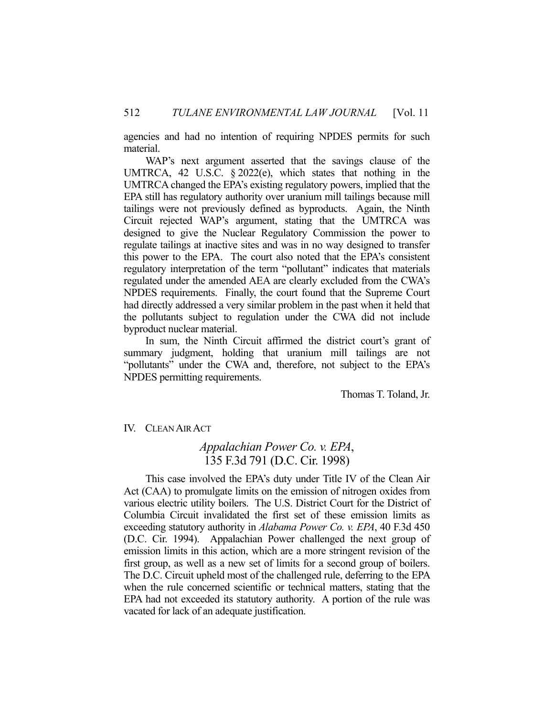agencies and had no intention of requiring NPDES permits for such material.

 WAP's next argument asserted that the savings clause of the UMTRCA, 42 U.S.C. § 2022(e), which states that nothing in the UMTRCA changed the EPA's existing regulatory powers, implied that the EPA still has regulatory authority over uranium mill tailings because mill tailings were not previously defined as byproducts. Again, the Ninth Circuit rejected WAP's argument, stating that the UMTRCA was designed to give the Nuclear Regulatory Commission the power to regulate tailings at inactive sites and was in no way designed to transfer this power to the EPA. The court also noted that the EPA's consistent regulatory interpretation of the term "pollutant" indicates that materials regulated under the amended AEA are clearly excluded from the CWA's NPDES requirements. Finally, the court found that the Supreme Court had directly addressed a very similar problem in the past when it held that the pollutants subject to regulation under the CWA did not include byproduct nuclear material.

 In sum, the Ninth Circuit affirmed the district court's grant of summary judgment, holding that uranium mill tailings are not "pollutants" under the CWA and, therefore, not subject to the EPA's NPDES permitting requirements.

Thomas T. Toland, Jr.

#### IV. CLEAN AIR ACT

# *Appalachian Power Co. v. EPA*, 135 F.3d 791 (D.C. Cir. 1998)

 This case involved the EPA's duty under Title IV of the Clean Air Act (CAA) to promulgate limits on the emission of nitrogen oxides from various electric utility boilers. The U.S. District Court for the District of Columbia Circuit invalidated the first set of these emission limits as exceeding statutory authority in *Alabama Power Co. v. EPA*, 40 F.3d 450 (D.C. Cir. 1994). Appalachian Power challenged the next group of emission limits in this action, which are a more stringent revision of the first group, as well as a new set of limits for a second group of boilers. The D.C. Circuit upheld most of the challenged rule, deferring to the EPA when the rule concerned scientific or technical matters, stating that the EPA had not exceeded its statutory authority. A portion of the rule was vacated for lack of an adequate justification.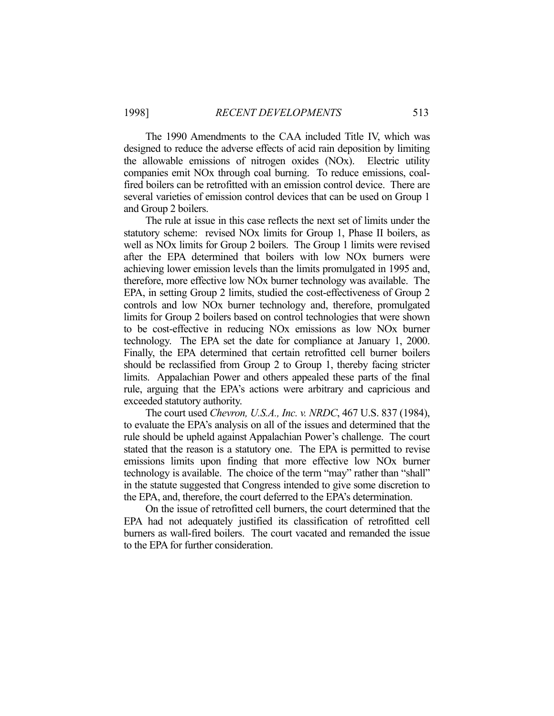The 1990 Amendments to the CAA included Title IV, which was designed to reduce the adverse effects of acid rain deposition by limiting the allowable emissions of nitrogen oxides (NOx). Electric utility companies emit NOx through coal burning. To reduce emissions, coalfired boilers can be retrofitted with an emission control device. There are several varieties of emission control devices that can be used on Group 1 and Group 2 boilers.

 The rule at issue in this case reflects the next set of limits under the statutory scheme: revised NOx limits for Group 1, Phase II boilers, as well as NOx limits for Group 2 boilers. The Group 1 limits were revised after the EPA determined that boilers with low NOx burners were achieving lower emission levels than the limits promulgated in 1995 and, therefore, more effective low NOx burner technology was available. The EPA, in setting Group 2 limits, studied the cost-effectiveness of Group 2 controls and low NOx burner technology and, therefore, promulgated limits for Group 2 boilers based on control technologies that were shown to be cost-effective in reducing NOx emissions as low NOx burner technology. The EPA set the date for compliance at January 1, 2000. Finally, the EPA determined that certain retrofitted cell burner boilers should be reclassified from Group 2 to Group 1, thereby facing stricter limits. Appalachian Power and others appealed these parts of the final rule, arguing that the EPA's actions were arbitrary and capricious and exceeded statutory authority.

 The court used *Chevron, U.S.A., Inc. v. NRDC*, 467 U.S. 837 (1984), to evaluate the EPA's analysis on all of the issues and determined that the rule should be upheld against Appalachian Power's challenge. The court stated that the reason is a statutory one. The EPA is permitted to revise emissions limits upon finding that more effective low NOx burner technology is available. The choice of the term "may" rather than "shall" in the statute suggested that Congress intended to give some discretion to the EPA, and, therefore, the court deferred to the EPA's determination.

 On the issue of retrofitted cell burners, the court determined that the EPA had not adequately justified its classification of retrofitted cell burners as wall-fired boilers. The court vacated and remanded the issue to the EPA for further consideration.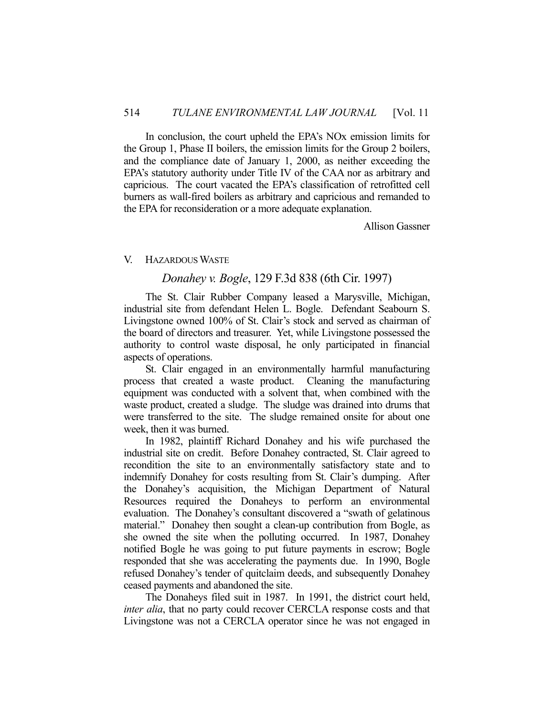In conclusion, the court upheld the EPA's NOx emission limits for the Group 1, Phase II boilers, the emission limits for the Group 2 boilers, and the compliance date of January 1, 2000, as neither exceeding the EPA's statutory authority under Title IV of the CAA nor as arbitrary and capricious. The court vacated the EPA's classification of retrofitted cell burners as wall-fired boilers as arbitrary and capricious and remanded to the EPA for reconsideration or a more adequate explanation.

Allison Gassner

#### V. HAZARDOUS WASTE

# *Donahey v. Bogle*, 129 F.3d 838 (6th Cir. 1997)

The St. Clair Rubber Company leased a Marysville, Michigan, industrial site from defendant Helen L. Bogle. Defendant Seabourn S. Livingstone owned 100% of St. Clair's stock and served as chairman of the board of directors and treasurer. Yet, while Livingstone possessed the authority to control waste disposal, he only participated in financial aspects of operations.

 St. Clair engaged in an environmentally harmful manufacturing process that created a waste product. Cleaning the manufacturing equipment was conducted with a solvent that, when combined with the waste product, created a sludge. The sludge was drained into drums that were transferred to the site. The sludge remained onsite for about one week, then it was burned.

 In 1982, plaintiff Richard Donahey and his wife purchased the industrial site on credit. Before Donahey contracted, St. Clair agreed to recondition the site to an environmentally satisfactory state and to indemnify Donahey for costs resulting from St. Clair's dumping. After the Donahey's acquisition, the Michigan Department of Natural Resources required the Donaheys to perform an environmental evaluation. The Donahey's consultant discovered a "swath of gelatinous material." Donahey then sought a clean-up contribution from Bogle, as she owned the site when the polluting occurred. In 1987, Donahey notified Bogle he was going to put future payments in escrow; Bogle responded that she was accelerating the payments due. In 1990, Bogle refused Donahey's tender of quitclaim deeds, and subsequently Donahey ceased payments and abandoned the site.

 The Donaheys filed suit in 1987. In 1991, the district court held, *inter alia*, that no party could recover CERCLA response costs and that Livingstone was not a CERCLA operator since he was not engaged in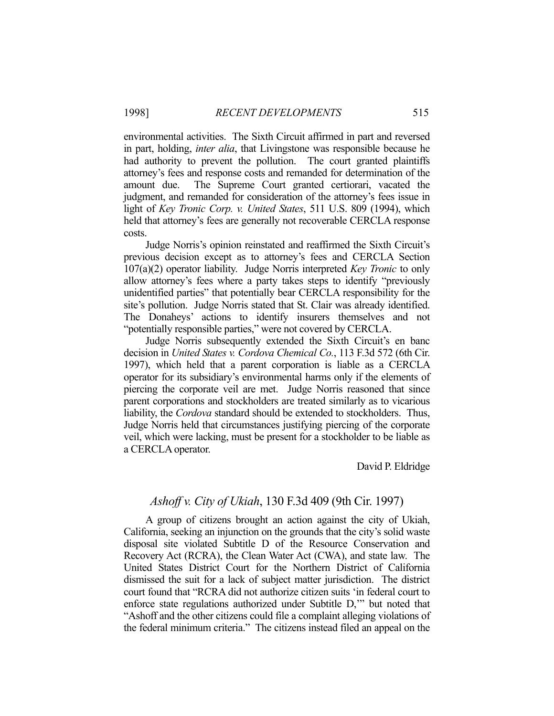environmental activities. The Sixth Circuit affirmed in part and reversed in part, holding, *inter alia*, that Livingstone was responsible because he had authority to prevent the pollution. The court granted plaintiffs attorney's fees and response costs and remanded for determination of the amount due. The Supreme Court granted certiorari, vacated the judgment, and remanded for consideration of the attorney's fees issue in light of *Key Tronic Corp. v. United States*, 511 U.S. 809 (1994), which held that attorney's fees are generally not recoverable CERCLA response costs.

 Judge Norris's opinion reinstated and reaffirmed the Sixth Circuit's previous decision except as to attorney's fees and CERCLA Section 107(a)(2) operator liability. Judge Norris interpreted *Key Tronic* to only allow attorney's fees where a party takes steps to identify "previously unidentified parties" that potentially bear CERCLA responsibility for the site's pollution. Judge Norris stated that St. Clair was already identified. The Donaheys' actions to identify insurers themselves and not "potentially responsible parties," were not covered by CERCLA.

 Judge Norris subsequently extended the Sixth Circuit's en banc decision in *United States v. Cordova Chemical Co.*, 113 F.3d 572 (6th Cir. 1997), which held that a parent corporation is liable as a CERCLA operator for its subsidiary's environmental harms only if the elements of piercing the corporate veil are met. Judge Norris reasoned that since parent corporations and stockholders are treated similarly as to vicarious liability, the *Cordova* standard should be extended to stockholders. Thus, Judge Norris held that circumstances justifying piercing of the corporate veil, which were lacking, must be present for a stockholder to be liable as a CERCLA operator.

David P. Eldridge

# *Ashoff v. City of Ukiah*, 130 F.3d 409 (9th Cir. 1997)

 A group of citizens brought an action against the city of Ukiah, California, seeking an injunction on the grounds that the city's solid waste disposal site violated Subtitle D of the Resource Conservation and Recovery Act (RCRA), the Clean Water Act (CWA), and state law. The United States District Court for the Northern District of California dismissed the suit for a lack of subject matter jurisdiction. The district court found that "RCRA did not authorize citizen suits 'in federal court to enforce state regulations authorized under Subtitle D,'" but noted that "Ashoff and the other citizens could file a complaint alleging violations of the federal minimum criteria." The citizens instead filed an appeal on the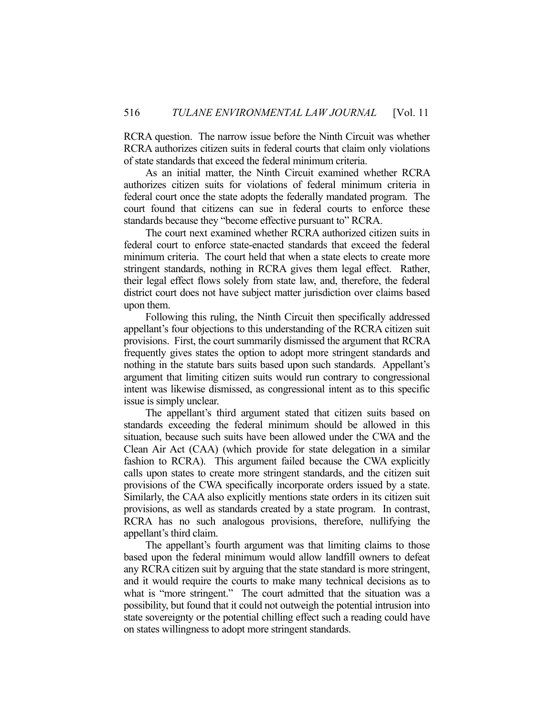RCRA question. The narrow issue before the Ninth Circuit was whether RCRA authorizes citizen suits in federal courts that claim only violations of state standards that exceed the federal minimum criteria.

 As an initial matter, the Ninth Circuit examined whether RCRA authorizes citizen suits for violations of federal minimum criteria in federal court once the state adopts the federally mandated program. The court found that citizens can sue in federal courts to enforce these standards because they "become effective pursuant to" RCRA.

 The court next examined whether RCRA authorized citizen suits in federal court to enforce state-enacted standards that exceed the federal minimum criteria. The court held that when a state elects to create more stringent standards, nothing in RCRA gives them legal effect. Rather, their legal effect flows solely from state law, and, therefore, the federal district court does not have subject matter jurisdiction over claims based upon them.

 Following this ruling, the Ninth Circuit then specifically addressed appellant's four objections to this understanding of the RCRA citizen suit provisions. First, the court summarily dismissed the argument that RCRA frequently gives states the option to adopt more stringent standards and nothing in the statute bars suits based upon such standards. Appellant's argument that limiting citizen suits would run contrary to congressional intent was likewise dismissed, as congressional intent as to this specific issue is simply unclear.

 The appellant's third argument stated that citizen suits based on standards exceeding the federal minimum should be allowed in this situation, because such suits have been allowed under the CWA and the Clean Air Act (CAA) (which provide for state delegation in a similar fashion to RCRA). This argument failed because the CWA explicitly calls upon states to create more stringent standards, and the citizen suit provisions of the CWA specifically incorporate orders issued by a state. Similarly, the CAA also explicitly mentions state orders in its citizen suit provisions, as well as standards created by a state program. In contrast, RCRA has no such analogous provisions, therefore, nullifying the appellant's third claim.

 The appellant's fourth argument was that limiting claims to those based upon the federal minimum would allow landfill owners to defeat any RCRA citizen suit by arguing that the state standard is more stringent, and it would require the courts to make many technical decisions as to what is "more stringent." The court admitted that the situation was a possibility, but found that it could not outweigh the potential intrusion into state sovereignty or the potential chilling effect such a reading could have on states willingness to adopt more stringent standards.